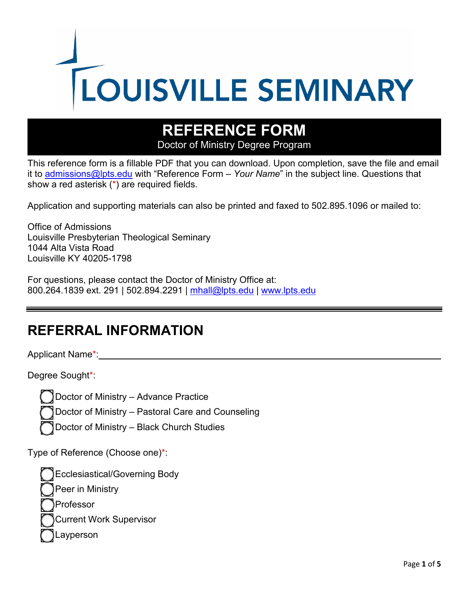

# **REFERENCE FORM**

Doctor of Ministry Degree Program

This reference form is a fillable PDF that you can download. Upon completion, save the file and email it to [admissions@lpts.edu](mailto:admissions@lpts.edu) with "Reference Form – *Your Name*" in the subject line. Questions that show a red asterisk (\*) are required fields.

Application and supporting materials can also be printed and faxed to 502.895.1096 or mailed to:

Office of Admissions Louisville Presbyterian Theological Seminary 1044 Alta Vista Road Louisville KY 40205-1798

For questions, please contact the Doctor of Ministry Office at: 800.264.1839 ext. 291 | 502.894.2291 | [mhall@lpts.edu](mailto:mhall@lpts.edu) | [www.lpts.edu](http://www.lpts.edu/)

#### **REFERRAL INFORMATION**

Applicant Name\*:

Degree Sought\*:

Doctor of Ministry – Advance Practice

Doctor of Ministry – Pastoral Care and Counseling

Doctor of Ministry – Black Church Studies

Type of Reference (Choose one)\*:

Ecclesiastical/Governing Body Peer in Ministry Professor Current Work Supervisor Layperson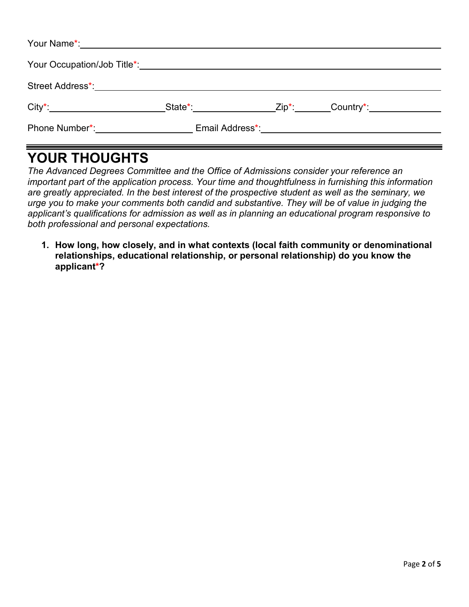|                                                                     |  | _State*:_____________________Zip*:________Country*:_____________________________ |
|---------------------------------------------------------------------|--|----------------------------------------------------------------------------------|
| Phone Number*: Email Address*: Email: Email: Email: Address = 1997. |  |                                                                                  |

### **YOUR THOUGHTS**

*The Advanced Degrees Committee and the Office of Admissions consider your reference an important part of the application process. Your time and thoughtfulness in furnishing this information are greatly appreciated. In the best interest of the prospective student as well as the seminary, we urge you to make your comments both candid and substantive. They will be of value in judging the applicant's qualifications for admission as well as in planning an educational program responsive to both professional and personal expectations.*

**1. How long, how closely, and in what contexts (local faith community or denominational relationships, educational relationship, or personal relationship) do you know the applicant\*?**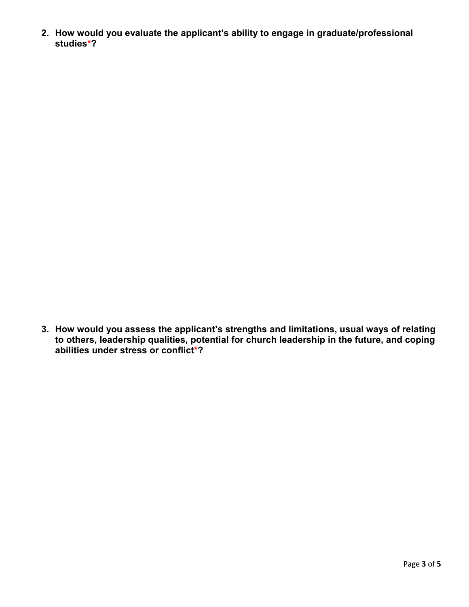**2. How would you evaluate the applicant's ability to engage in graduate/professional studies\*?**

**3. How would you assess the applicant's strengths and limitations, usual ways of relating to others, leadership qualities, potential for church leadership in the future, and coping abilities under stress or conflict\*?**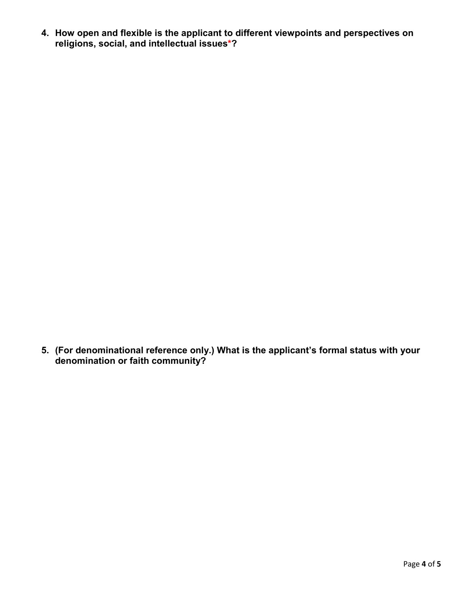**4. How open and flexible is the applicant to different viewpoints and perspectives on religions, social, and intellectual issues\*?**

**5. (For denominational reference only.) What is the applicant's formal status with your denomination or faith community?**